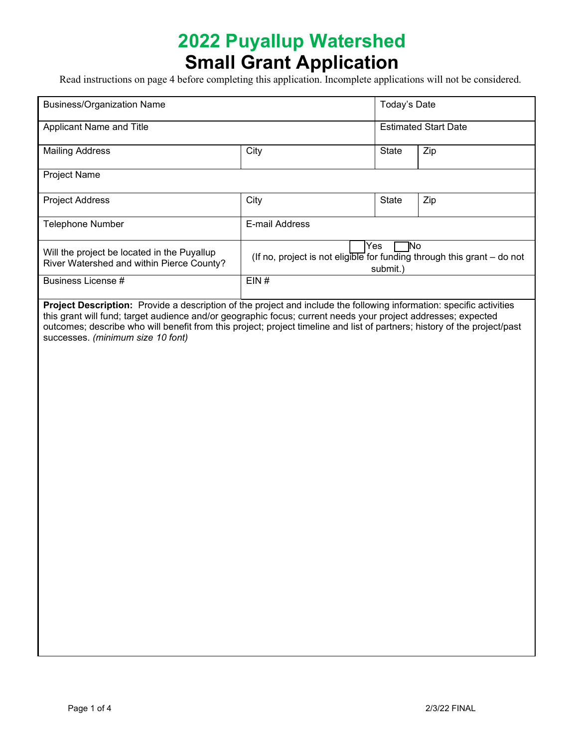# **2022 Puyallup Watershed Small Grant Application**

Read instructions on page 4 before completing this application. Incomplete applications will not be considered.

| <b>Business/Organization Name</b>                                                                                                                                                                                                                                                                                                                                                                       |                                                                                                     | Today's Date                |     |
|---------------------------------------------------------------------------------------------------------------------------------------------------------------------------------------------------------------------------------------------------------------------------------------------------------------------------------------------------------------------------------------------------------|-----------------------------------------------------------------------------------------------------|-----------------------------|-----|
| Applicant Name and Title                                                                                                                                                                                                                                                                                                                                                                                |                                                                                                     | <b>Estimated Start Date</b> |     |
| <b>Mailing Address</b>                                                                                                                                                                                                                                                                                                                                                                                  | City                                                                                                | State                       | Zip |
| Project Name                                                                                                                                                                                                                                                                                                                                                                                            |                                                                                                     |                             |     |
| <b>Project Address</b>                                                                                                                                                                                                                                                                                                                                                                                  | City                                                                                                | State                       | Zip |
| Telephone Number                                                                                                                                                                                                                                                                                                                                                                                        | E-mail Address                                                                                      |                             |     |
| Will the project be located in the Puyallup<br>River Watershed and within Pierce County?                                                                                                                                                                                                                                                                                                                | ٦No<br>Yes<br>(If no, project is not eligible for funding through this grant $-$ do not<br>submit.) |                             |     |
| Business License #                                                                                                                                                                                                                                                                                                                                                                                      | EIN#                                                                                                |                             |     |
| Project Description: Provide a description of the project and include the following information: specific activities<br>this grant will fund; target audience and/or geographic focus; current needs your project addresses; expected<br>outcomes; describe who will benefit from this project; project timeline and list of partners; history of the project/past<br>successes. (minimum size 10 font) |                                                                                                     |                             |     |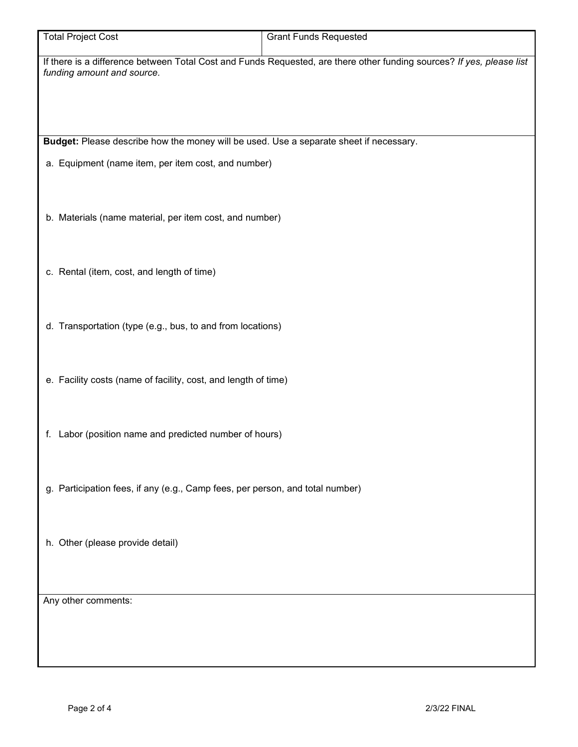| <b>Total Project Cost</b>                                                                                                                           | <b>Grant Funds Requested</b> |  |  |
|-----------------------------------------------------------------------------------------------------------------------------------------------------|------------------------------|--|--|
| If there is a difference between Total Cost and Funds Requested, are there other funding sources? If yes, please list<br>funding amount and source. |                              |  |  |
|                                                                                                                                                     |                              |  |  |
|                                                                                                                                                     |                              |  |  |
| Budget: Please describe how the money will be used. Use a separate sheet if necessary.                                                              |                              |  |  |
| a. Equipment (name item, per item cost, and number)                                                                                                 |                              |  |  |
|                                                                                                                                                     |                              |  |  |
| b. Materials (name material, per item cost, and number)                                                                                             |                              |  |  |
|                                                                                                                                                     |                              |  |  |
|                                                                                                                                                     |                              |  |  |
| c. Rental (item, cost, and length of time)                                                                                                          |                              |  |  |
|                                                                                                                                                     |                              |  |  |
| d. Transportation (type (e.g., bus, to and from locations)                                                                                          |                              |  |  |
|                                                                                                                                                     |                              |  |  |
| e. Facility costs (name of facility, cost, and length of time)                                                                                      |                              |  |  |
|                                                                                                                                                     |                              |  |  |
| f. Labor (position name and predicted number of hours)                                                                                              |                              |  |  |
|                                                                                                                                                     |                              |  |  |
| g. Participation fees, if any (e.g., Camp fees, per person, and total number)                                                                       |                              |  |  |
|                                                                                                                                                     |                              |  |  |
| h. Other (please provide detail)                                                                                                                    |                              |  |  |
|                                                                                                                                                     |                              |  |  |
|                                                                                                                                                     |                              |  |  |
| Any other comments:                                                                                                                                 |                              |  |  |
|                                                                                                                                                     |                              |  |  |
|                                                                                                                                                     |                              |  |  |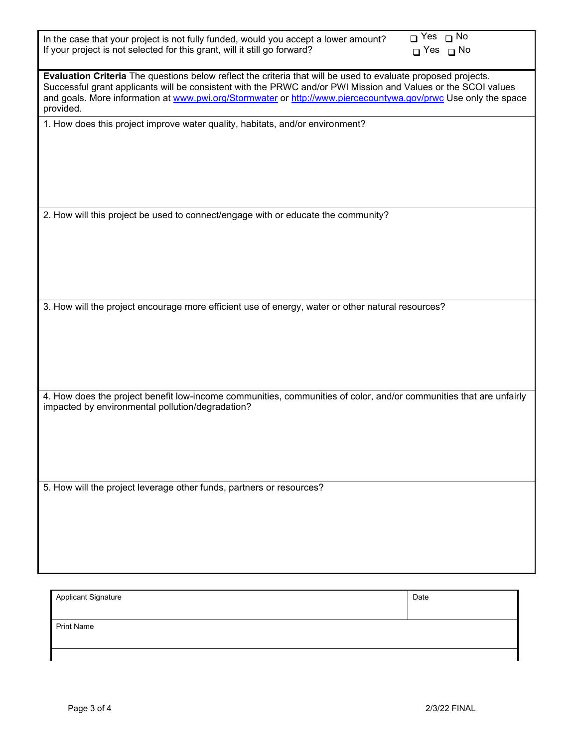| In the case that your project is not fully funded, would you accept a lower amount?<br>If your project is not selected for this grant, will it still go forward?                                                                                                                                                                                              | O Yes □ No<br>$\Box$ Yes $\Box$ No |  |  |  |
|---------------------------------------------------------------------------------------------------------------------------------------------------------------------------------------------------------------------------------------------------------------------------------------------------------------------------------------------------------------|------------------------------------|--|--|--|
| Evaluation Criteria The questions below reflect the criteria that will be used to evaluate proposed projects.<br>Successful grant applicants will be consistent with the PRWC and/or PWI Mission and Values or the SCOI values<br>and goals. More information at www.pwi.org/Stormwater or http://www.piercecountywa.gov/prwc Use only the space<br>provided. |                                    |  |  |  |
| 1. How does this project improve water quality, habitats, and/or environment?                                                                                                                                                                                                                                                                                 |                                    |  |  |  |
|                                                                                                                                                                                                                                                                                                                                                               |                                    |  |  |  |
|                                                                                                                                                                                                                                                                                                                                                               |                                    |  |  |  |
|                                                                                                                                                                                                                                                                                                                                                               |                                    |  |  |  |
|                                                                                                                                                                                                                                                                                                                                                               |                                    |  |  |  |
|                                                                                                                                                                                                                                                                                                                                                               |                                    |  |  |  |
| 2. How will this project be used to connect/engage with or educate the community?                                                                                                                                                                                                                                                                             |                                    |  |  |  |
|                                                                                                                                                                                                                                                                                                                                                               |                                    |  |  |  |
|                                                                                                                                                                                                                                                                                                                                                               |                                    |  |  |  |
|                                                                                                                                                                                                                                                                                                                                                               |                                    |  |  |  |
|                                                                                                                                                                                                                                                                                                                                                               |                                    |  |  |  |
|                                                                                                                                                                                                                                                                                                                                                               |                                    |  |  |  |
| 3. How will the project encourage more efficient use of energy, water or other natural resources?                                                                                                                                                                                                                                                             |                                    |  |  |  |
|                                                                                                                                                                                                                                                                                                                                                               |                                    |  |  |  |
|                                                                                                                                                                                                                                                                                                                                                               |                                    |  |  |  |
|                                                                                                                                                                                                                                                                                                                                                               |                                    |  |  |  |
|                                                                                                                                                                                                                                                                                                                                                               |                                    |  |  |  |
|                                                                                                                                                                                                                                                                                                                                                               |                                    |  |  |  |
| 4. How does the project benefit low-income communities, communities of color, and/or communities that are unfairly<br>impacted by environmental pollution/degradation?                                                                                                                                                                                        |                                    |  |  |  |
|                                                                                                                                                                                                                                                                                                                                                               |                                    |  |  |  |
|                                                                                                                                                                                                                                                                                                                                                               |                                    |  |  |  |
|                                                                                                                                                                                                                                                                                                                                                               |                                    |  |  |  |
|                                                                                                                                                                                                                                                                                                                                                               |                                    |  |  |  |
|                                                                                                                                                                                                                                                                                                                                                               |                                    |  |  |  |
| 5. How will the project leverage other funds, partners or resources?                                                                                                                                                                                                                                                                                          |                                    |  |  |  |
|                                                                                                                                                                                                                                                                                                                                                               |                                    |  |  |  |
|                                                                                                                                                                                                                                                                                                                                                               |                                    |  |  |  |
|                                                                                                                                                                                                                                                                                                                                                               |                                    |  |  |  |
|                                                                                                                                                                                                                                                                                                                                                               |                                    |  |  |  |
|                                                                                                                                                                                                                                                                                                                                                               |                                    |  |  |  |
|                                                                                                                                                                                                                                                                                                                                                               |                                    |  |  |  |
| <b>Applicant Signature</b>                                                                                                                                                                                                                                                                                                                                    | Date                               |  |  |  |

Print Name